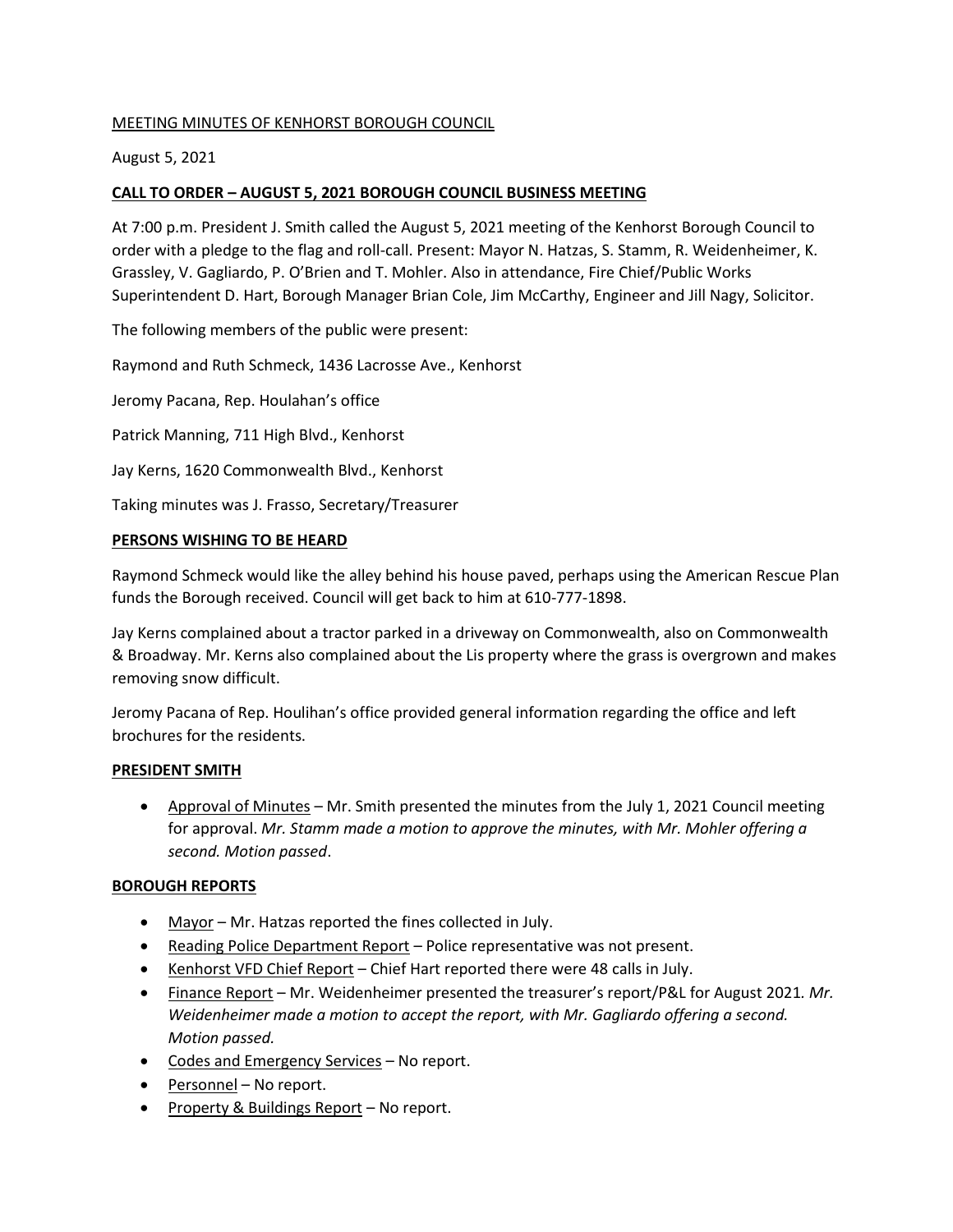# MEETING MINUTES OF KENHORST BOROUGH COUNCIL

## August 5, 2021

# **CALL TO ORDER – AUGUST 5, 2021 BOROUGH COUNCIL BUSINESS MEETING**

At 7:00 p.m. President J. Smith called the August 5, 2021 meeting of the Kenhorst Borough Council to order with a pledge to the flag and roll-call. Present: Mayor N. Hatzas, S. Stamm, R. Weidenheimer, K. Grassley, V. Gagliardo, P. O'Brien and T. Mohler. Also in attendance, Fire Chief/Public Works Superintendent D. Hart, Borough Manager Brian Cole, Jim McCarthy, Engineer and Jill Nagy, Solicitor.

The following members of the public were present:

Raymond and Ruth Schmeck, 1436 Lacrosse Ave., Kenhorst

Jeromy Pacana, Rep. Houlahan's office

Patrick Manning, 711 High Blvd., Kenhorst

Jay Kerns, 1620 Commonwealth Blvd., Kenhorst

Taking minutes was J. Frasso, Secretary/Treasurer

### **PERSONS WISHING TO BE HEARD**

Raymond Schmeck would like the alley behind his house paved, perhaps using the American Rescue Plan funds the Borough received. Council will get back to him at 610-777-1898.

Jay Kerns complained about a tractor parked in a driveway on Commonwealth, also on Commonwealth & Broadway. Mr. Kerns also complained about the Lis property where the grass is overgrown and makes removing snow difficult.

Jeromy Pacana of Rep. Houlihan's office provided general information regarding the office and left brochures for the residents.

### **PRESIDENT SMITH**

• Approval of Minutes – Mr. Smith presented the minutes from the July 1, 2021 Council meeting for approval. *Mr. Stamm made a motion to approve the minutes, with Mr. Mohler offering a second. Motion passed*.

### **BOROUGH REPORTS**

- Mayor Mr. Hatzas reported the fines collected in July.
- Reading Police Department Report Police representative was not present.
- Kenhorst VFD Chief Report Chief Hart reported there were 48 calls in July.
- Finance Report Mr. Weidenheimer presented the treasurer's report/P&L for August 2021*. Mr. Weidenheimer made a motion to accept the report, with Mr. Gagliardo offering a second. Motion passed.*
- Codes and Emergency Services No report.
- Personnel No report.
- Property & Buildings Report No report.